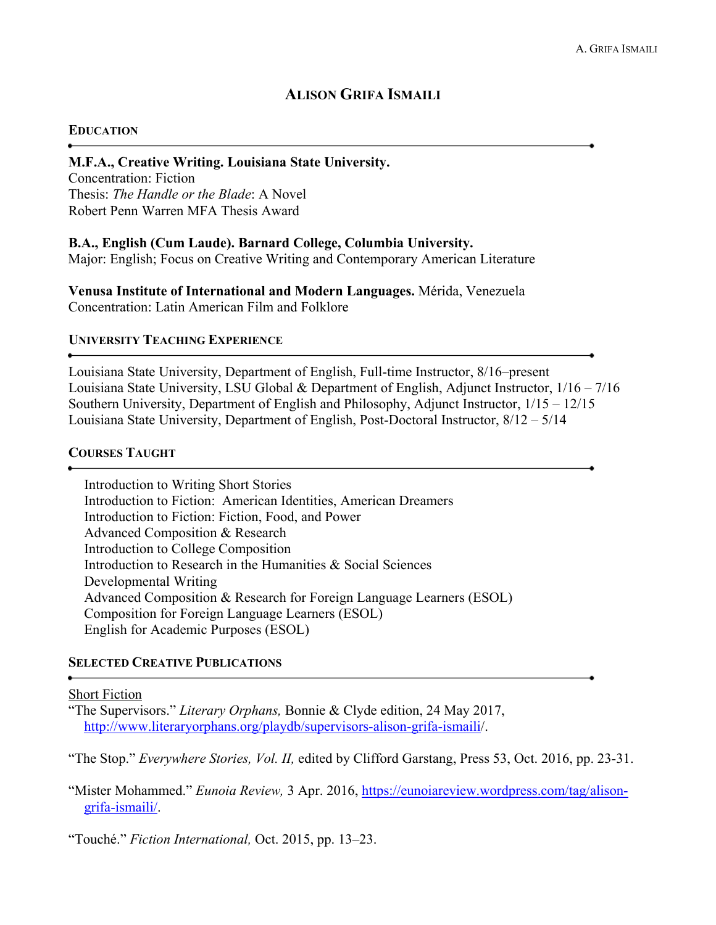# **ALISON GRIFA ISMAILI**

### **EDUCATION**

#### **M.F.A., Creative Writing. Louisiana State University.**

Concentration: Fiction Thesis: *The Handle or the Blade*: A Novel Robert Penn Warren MFA Thesis Award

#### **B.A., English (Cum Laude). Barnard College, Columbia University.**

Major: English; Focus on Creative Writing and Contemporary American Literature

**Venusa Institute of International and Modern Languages.** Mérida, Venezuela Concentration: Latin American Film and Folklore

#### **UNIVERSITY TEACHING EXPERIENCE**

Louisiana State University, Department of English, Full-time Instructor, 8/16–present Louisiana State University, LSU Global & Department of English, Adjunct Instructor, 1/16 – 7/16 Southern University, Department of English and Philosophy, Adjunct Instructor, 1/15 – 12/15 Louisiana State University, Department of English, Post-Doctoral Instructor, 8/12 – 5/14

### **COURSES TAUGHT**

Introduction to Writing Short Stories Introduction to Fiction: American Identities, American Dreamers Introduction to Fiction: Fiction, Food, and Power Advanced Composition & Research Introduction to College Composition Introduction to Research in the Humanities & Social Sciences Developmental Writing Advanced Composition & Research for Foreign Language Learners (ESOL) Composition for Foreign Language Learners (ESOL) English for Academic Purposes (ESOL)

# **SELECTED CREATIVE PUBLICATIONS**

#### Short Fiction

"The Supervisors." *Literary Orphans,* Bonnie & Clyde edition, 24 May 2017, [http://www.literaryorphans.org/playdb/supervisors-alison-grifa-ismaili/](http://www.literaryorphans.org/playdb/supervisors-alison-grifa-ismaili).

"The Stop." *Everywhere Stories, Vol. II,* edited by Clifford Garstang, Press 53, Oct. 2016, pp. 23-31.

"Mister Mohammed." *Eunoia Review,* 3 Apr. 2016, [https://eunoiareview.wordpress.com/tag/alison](https://eunoiareview.wordpress.com/2016/04/03/mister-mohammed/)[grifa-ismaili/.](https://eunoiareview.wordpress.com/tag/alison-%09grifa-ismaili/)

"Touché." *Fiction International,* Oct. 2015, pp. 13–23.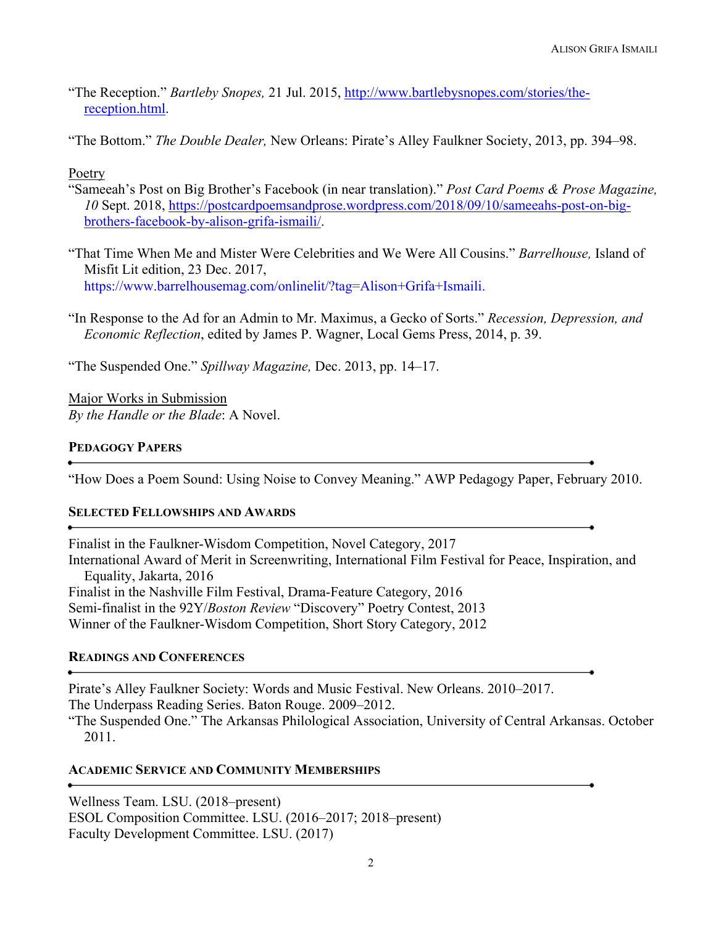- "The Reception." *Bartleby Snopes,* 21 Jul. 2015, [http://www.bartlebysnopes.com/stories/the](http://www.bartlebysnopes.com/stories/the-reception.html)[reception.html.](http://www.bartlebysnopes.com/stories/the-reception.html)
- "The Bottom." *The Double Dealer,* New Orleans: Pirate's Alley Faulkner Society, 2013, pp. 394–98.

# Poetry

- "Sameeah's Post on Big Brother's Facebook (in near translation)." *Post Card Poems & Prose Magazine, 10* Sept. 2018, [https://postcardpoemsandprose.wordpress.com/2018/09/10/sameeahs-post-on-big](https://postcardpoemsandprose.wordpress.com/2018/09/10/sameeahs-post-on-big-brothers-facebook-by-alison-grifa-ismaili/)[brothers-facebook-by-alison-grifa-ismaili/.](https://postcardpoemsandprose.wordpress.com/2018/09/10/sameeahs-post-on-big-brothers-facebook-by-alison-grifa-ismaili/)
- "That Time When Me and Mister Were Celebrities and We Were All Cousins." *Barrelhouse,* Island of Misfit Lit edition, 23 Dec. 2017, https://www.barrelhousemag.com/onlinelit/?tag=Alison+Grifa+Ismaili.
- "In Response to the Ad for an Admin to Mr. Maximus, a Gecko of Sorts." *Recession, Depression, and Economic Reflection*, edited by James P. Wagner, Local Gems Press, 2014, p. 39.

"The Suspended One." *Spillway Magazine,* Dec. 2013, pp. 14–17.

Major Works in Submission *By the Handle or the Blade*: A Novel.

# **PEDAGOGY PAPERS**

"How Does a Poem Sound: Using Noise to Convey Meaning." AWP Pedagogy Paper, February 2010.

# **SELECTED FELLOWSHIPS AND AWARDS**

Finalist in the Faulkner-Wisdom Competition, Novel Category, 2017 International Award of Merit in Screenwriting, International Film Festival for Peace, Inspiration, and Equality, Jakarta, 2016 Finalist in the Nashville Film Festival, Drama-Feature Category, 2016 Semi-finalist in the 92Y/*Boston Review* "Discovery" Poetry Contest, 2013 Winner of the Faulkner-Wisdom Competition, Short Story Category, 2012

# **READINGS AND CONFERENCES**

Pirate's Alley Faulkner Society: Words and Music Festival. New Orleans. 2010–2017. The Underpass Reading Series. Baton Rouge. 2009–2012.

"The Suspended One." The Arkansas Philological Association, University of Central Arkansas. October 2011.

# **ACADEMIC SERVICE AND COMMUNITY MEMBERSHIPS**

Wellness Team. LSU. (2018–present) ESOL Composition Committee. LSU. (2016–2017; 2018–present) Faculty Development Committee. LSU. (2017)